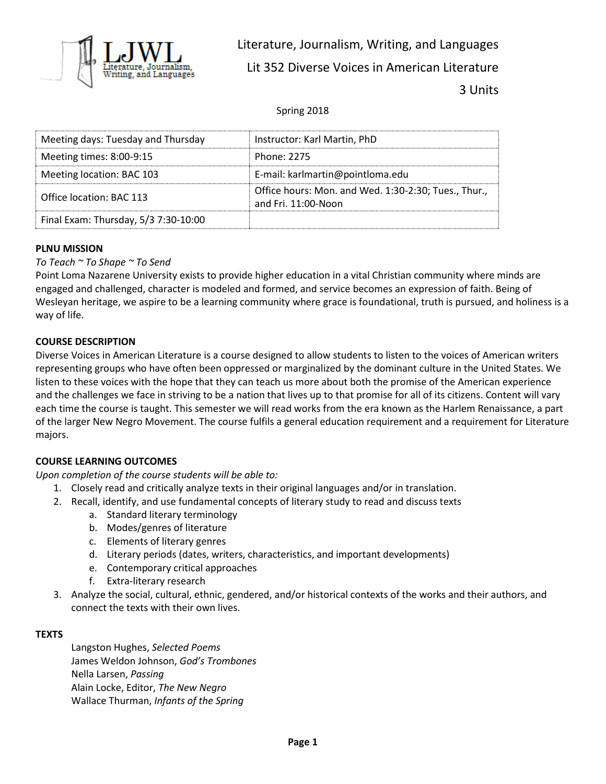

Literature, Journalism, Writing, and Languages Lit 352 Diverse Voices in American Literature

3 Units

Spring 2018

| Meeting days: Tuesday and Thursday   | Instructor: Karl Martin, PhD                                                |
|--------------------------------------|-----------------------------------------------------------------------------|
| Meeting times: 8:00-9:15             | Phone: 2275                                                                 |
| Meeting location: BAC 103            | E-mail: karlmartin@pointloma.edu                                            |
| Office location: BAC 113             | Office hours: Mon. and Wed. 1:30-2:30; Tues., Thur.,<br>and Fri. 11:00-Noon |
| Final Exam: Thursday, 5/3 7:30-10:00 |                                                                             |

# **PLNU MISSION**

#### *To Teach ~ To Shape ~ To Send*

Point Loma Nazarene University exists to provide higher education in a vital Christian community where minds are engaged and challenged, character is modeled and formed, and service becomes an expression of faith. Being of Wesleyan heritage, we aspire to be a learning community where grace is foundational, truth is pursued, and holiness is a way of life.

#### **COURSE DESCRIPTION**

Diverse Voices in American Literature is a course designed to allow students to listen to the voices of American writers representing groups who have often been oppressed or marginalized by the dominant culture in the United States. We listen to these voices with the hope that they can teach us more about both the promise of the American experience and the challenges we face in striving to be a nation that lives up to that promise for all of its citizens. Content will vary each time the course is taught. This semester we will read works from the era known as the Harlem Renaissance, a part of the larger New Negro Movement. The course fulfils a general education requirement and a requirement for Literature majors.

# **COURSE LEARNING OUTCOMES**

*Upon completion of the course students will be able to:*

- 1. Closely read and critically analyze texts in their original languages and/or in translation.
- 2. Recall, identify, and use fundamental concepts of literary study to read and discuss texts
	- a. Standard literary terminology
	- b. Modes/genres of literature
	- c. Elements of literary genres
	- d. Literary periods (dates, writers, characteristics, and important developments)
	- e. Contemporary critical approaches
	- f. Extra-literary research
- 3. Analyze the social, cultural, ethnic, gendered, and/or historical contexts of the works and their authors, and connect the texts with their own lives.

#### **TEXTS**

Langston Hughes, *Selected Poems* James Weldon Johnson, *God's Trombones* Nella Larsen, *Passing* Alain Locke, Editor, *The New Negro* Wallace Thurman, *Infants of the Spring*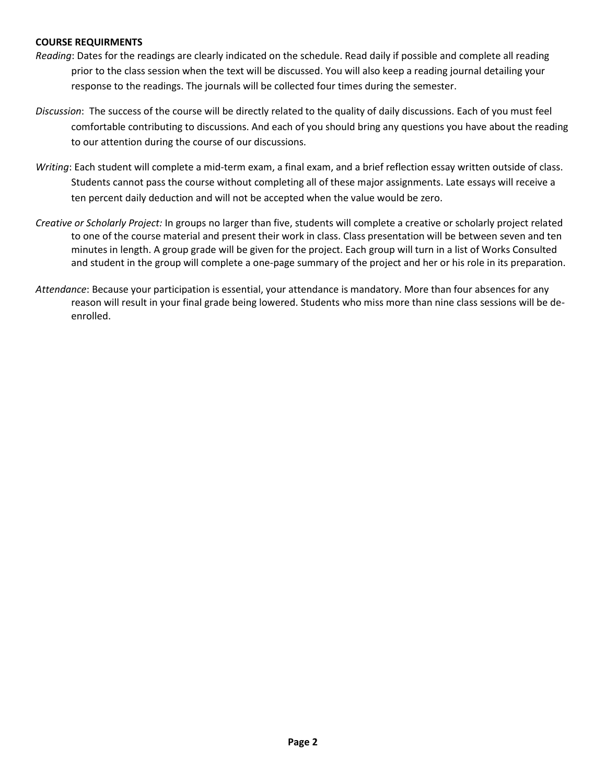# **COURSE REQUIRMENTS**

- *Reading*: Dates for the readings are clearly indicated on the schedule. Read daily if possible and complete all reading prior to the class session when the text will be discussed. You will also keep a reading journal detailing your response to the readings. The journals will be collected four times during the semester.
- *Discussion*: The success of the course will be directly related to the quality of daily discussions. Each of you must feel comfortable contributing to discussions. And each of you should bring any questions you have about the reading to our attention during the course of our discussions.
- *Writing*: Each student will complete a mid-term exam, a final exam, and a brief reflection essay written outside of class. Students cannot pass the course without completing all of these major assignments. Late essays will receive a ten percent daily deduction and will not be accepted when the value would be zero.
- *Creative or Scholarly Project:* In groups no larger than five, students will complete a creative or scholarly project related to one of the course material and present their work in class. Class presentation will be between seven and ten minutes in length. A group grade will be given for the project. Each group will turn in a list of Works Consulted and student in the group will complete a one-page summary of the project and her or his role in its preparation.
- *Attendance*: Because your participation is essential, your attendance is mandatory. More than four absences for any reason will result in your final grade being lowered. Students who miss more than nine class sessions will be deenrolled.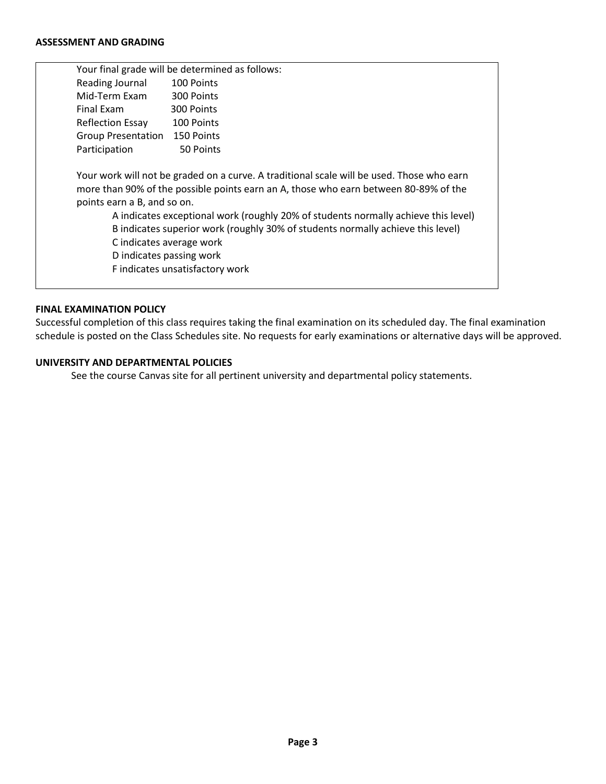#### **ASSESSMENT AND GRADING**

| Your final grade will be determined as follows:                                 |                                                                                           |  |
|---------------------------------------------------------------------------------|-------------------------------------------------------------------------------------------|--|
| Reading Journal                                                                 | 100 Points                                                                                |  |
| Mid-Term Fxam                                                                   | 300 Points                                                                                |  |
| Final Fxam                                                                      | 300 Points                                                                                |  |
| <b>Reflection Essay</b>                                                         | 100 Points                                                                                |  |
| <b>Group Presentation</b>                                                       | 150 Points                                                                                |  |
| Participation                                                                   | 50 Points                                                                                 |  |
|                                                                                 |                                                                                           |  |
|                                                                                 | Your work will not be graded on a curve. A traditional scale will be used. Those who earn |  |
|                                                                                 | more than 90% of the possible points earn an A, those who earn between 80-89% of the      |  |
| points earn a B, and so on.                                                     |                                                                                           |  |
|                                                                                 | A indicates exceptional work (roughly 20% of students normally achieve this level)        |  |
| B indicates superior work (roughly 30% of students normally achieve this level) |                                                                                           |  |
| C indicates average work                                                        |                                                                                           |  |
| D indicates passing work                                                        |                                                                                           |  |
|                                                                                 | F indicates unsatisfactory work                                                           |  |
|                                                                                 |                                                                                           |  |
|                                                                                 |                                                                                           |  |

# **FINAL EXAMINATION POLICY**

Successful completion of this class requires taking the final examination on its scheduled day. The final examination schedule is posted on the Class Schedules site. No requests for early examinations or alternative days will be approved.

## **UNIVERSITY AND DEPARTMENTAL POLICIES**

See the course Canvas site for all pertinent university and departmental policy statements.